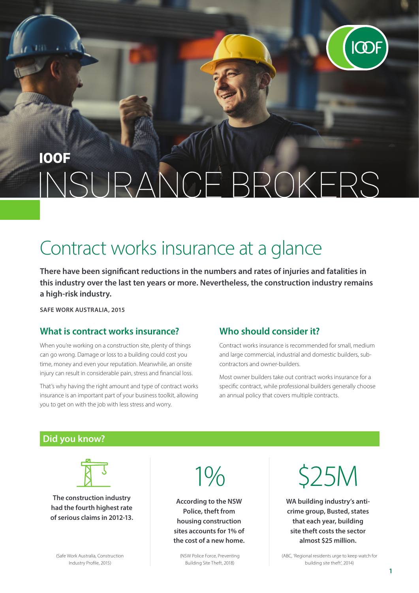

## **IOOF** VCF BROKERS  $NSE$

# Contract works insurance at a glance

**There have been significant reductions in the numbers and rates of injuries and fatalities in this industry over the last ten years or more. Nevertheless, the construction industry remains a high-risk industry.**

**SAFE WORK AUSTRALIA, 2015**

#### **What is contract works insurance?**

When you're working on a construction site, plenty of things can go wrong. Damage or loss to a building could cost you time, money and even your reputation. Meanwhile, an onsite injury can result in considerable pain, stress and financial loss.

That's why having the right amount and type of contract works insurance is an important part of your business toolkit, allowing you to get on with the job with less stress and worry.

#### **Who should consider it?**

Contract works insurance is recommended for small, medium and large commercial, industrial and domestic builders, subcontractors and owner-builders.

Most owner builders take out contract works insurance for a specific contract, while professional builders generally choose an annual policy that covers multiple contracts.

#### **Did you know?**



**The construction industry had the fourth highest rate of serious claims in 2012-13.** 



**According to the NSW Police, theft from housing construction sites accounts for 1% of the cost of a new home.** \$25M

**WA building industry's anticrime group, Busted, states that each year, building site theft costs the sector almost \$25 million.** 

(Safe Work Australia, Construction Industry Profile, 2015)

(NSW Police Force, Preventing Building Site Theft, 2018)

(ABC, 'Regional residents urge to keep watch for building site theft', 2014)